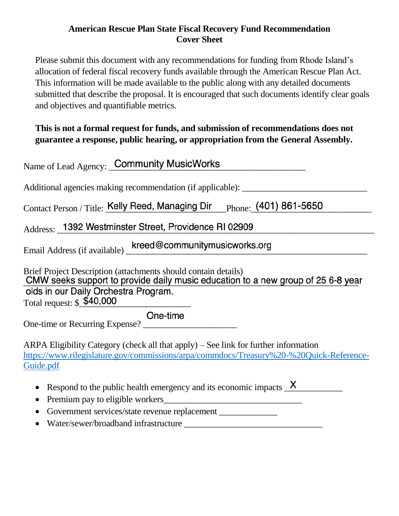## **American Rescue Plan State Fiscal Recovery Fund Recommendation Cover Sheet**

Please submit this document with any recommendations for funding from Rhode Island's allocation of federal fiscal recovery funds available through the American Rescue Plan Act. This information will be made available to the public along with any detailed documents submitted that describe the proposal. It is encouraged that such documents identify clear goals and objectives and quantifiable metrics.

# **This is not a formal request for funds, and submission of recommendations does not guarantee a response, public hearing, or appropriation from the General Assembly.**

| Name of Lead Agency: Community MusicWorks                                                                                                                                                   |
|---------------------------------------------------------------------------------------------------------------------------------------------------------------------------------------------|
| Additional agencies making recommendation (if applicable): _____________________                                                                                                            |
| Contact Person / Title: Kelly Reed, Managing Dir Phone: (401) 861-5650                                                                                                                      |
| Address: 1392 Westminster Street, Providence RI 02909                                                                                                                                       |
| Email Address (if available) kreed@communitymusicworks.org                                                                                                                                  |
| Brief Project Description (attachments should contain details)<br>CMW seeks support to provide daily music education to a new group of 25 6-8 year                                          |
| olds in our Daily Orchestra Program.                                                                                                                                                        |
| Total request: \$ \$40,000                                                                                                                                                                  |
| One-time<br>One-time or Recurring Expense?                                                                                                                                                  |
| ARPA Eligibility Category (check all that apply) – See link for further information<br>https://www.rilegislature.gov/commissions/arpa/commdocs/Treasury%20-%20Quick-Reference-<br>Guide.pdf |
| • Respond to the public health emergency and its economic impacts $\frac{\mathsf{X}}{\mathsf{X}}$<br>Premium pay to eligible workers                                                        |

- Government services/state revenue replacement \_\_\_\_\_\_\_\_\_\_\_\_\_\_\_\_\_\_\_\_\_\_\_\_\_\_\_\_\_\_\_\_
- Water/sewer/broadband infrastructure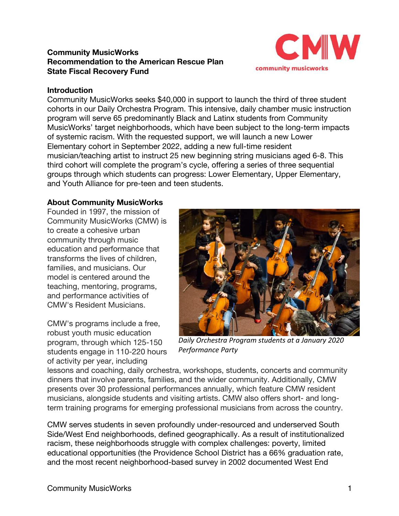## **Community MusicWorks Recommendation to the American Rescue Plan State Fiscal Recovery Fund**



#### **Introduction**

Community MusicWorks seeks \$40,000 in support to launch the third of three student cohorts in our Daily Orchestra Program. This intensive, daily chamber music instruction program will serve 65 predominantly Black and Latinx students from Community MusicWorks' target neighborhoods, which have been subject to the long-term impacts of systemic racism. With the requested support, we will launch a new Lower Elementary cohort in September 2022, adding a new full-time resident musician/teaching artist to instruct 25 new beginning string musicians aged 6-8. This third cohort will complete the program's cycle, offering a series of three sequential groups through which students can progress: Lower Elementary, Upper Elementary, and Youth Alliance for pre-teen and teen students.

#### **About Community MusicWorks**

Founded in 1997, the mission of Community MusicWorks (CMW) is to create a cohesive urban community through music education and performance that transforms the lives of children, families, and musicians. Our model is centered around the teaching, mentoring, programs, and performance activities of CMW's Resident Musicians.

CMW's programs include a free, robust youth music education program, through which 125-150 students engage in 110-220 hours of activity per year, including



*Daily Orchestra Program students at a January 2020 Performance Party*

lessons and coaching, daily orchestra, workshops, students, concerts and community dinners that involve parents, families, and the wider community. Additionally, CMW presents over 30 professional performances annually, which feature CMW resident musicians, alongside students and visiting artists. CMW also offers short- and longterm training programs for emerging professional musicians from across the country.

CMW serves students in seven profoundly under-resourced and underserved South Side/West End neighborhoods, defined geographically. As a result of institutionalized racism, these neighborhoods struggle with complex challenges: poverty, limited educational opportunities (the Providence School District has a 66% graduation rate, and the most recent neighborhood-based survey in 2002 documented West End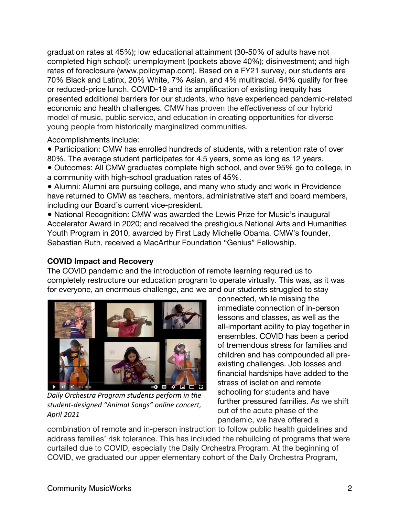graduation rates at 45%); low educational attainment (30-50% of adults have not completed high school); unemployment (pockets above 40%); disinvestment; and high rates of foreclosure (www.policymap.com). Based on a FY21 survey, our students are 70% Black and Latinx, 20% White, 7% Asian, and 4% multiracial. 64% qualify for free or reduced-price lunch. COVID-19 and its amplification of existing inequity has presented additional barriers for our students, who have experienced pandemic-related economic and health challenges. CMW has proven the effectiveness of our hybrid model of music, public service, and education in creating opportunities for diverse young people from historically marginalized communities.

Accomplishments include:

● Participation: CMW has enrolled hundreds of students, with a retention rate of over 80%. The average student participates for 4.5 years, some as long as 12 years.

● Outcomes: All CMW graduates complete high school, and over 95% go to college, in a community with high-school graduation rates of 45%.

● Alumni: Alumni are pursuing college, and many who study and work in Providence have returned to CMW as teachers, mentors, administrative staff and board members, including our Board's current vice-president.

• National Recognition: CMW was awarded the Lewis Prize for Music's inaugural Accelerator Award in 2020; and received the prestigious National Arts and Humanities Youth Program in 2010, awarded by First Lady Michelle Obama. CMW's founder, Sebastian Ruth, received a MacArthur Foundation "Genius" Fellowship.

## **COVID Impact and Recovery**

The COVID pandemic and the introduction of remote learning required us to completely restructure our education program to operate virtually. This was, as it was for everyone, an enormous challenge, and we and our students struggled to stay



*Daily Orchestra Program students perform in the student-designed "Animal Songs" online concert, April 2021*

connected, while missing the immediate connection of in-person lessons and classes, as well as the all-important ability to play together in ensembles. COVID has been a period of tremendous stress for families and children and has compounded all preexisting challenges. Job losses and financial hardships have added to the stress of isolation and remote schooling for students and have further pressured families. As we shift out of the acute phase of the pandemic, we have offered a

combination of remote and in-person instruction to follow public health guidelines and address families' risk tolerance. This has included the rebuilding of programs that were curtailed due to COVID, especially the Daily Orchestra Program. At the beginning of COVID, we graduated our upper elementary cohort of the Daily Orchestra Program,